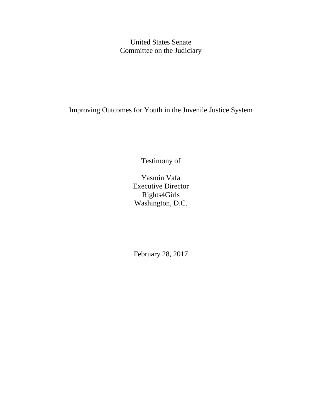United States Senate Committee on the Judiciary

Improving Outcomes for Youth in the Juvenile Justice System

Testimony of

Yasmin Vafa Executive Director Rights4Girls Washington, D.C.

February 28, 2017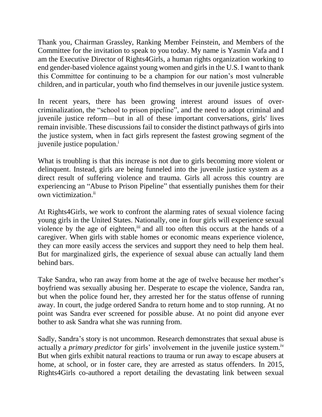Thank you, Chairman Grassley, Ranking Member Feinstein, and Members of the Committee for the invitation to speak to you today. My name is Yasmin Vafa and I am the Executive Director of Rights4Girls, a human rights organization working to end gender-based violence against young women and girls in the U.S. I want to thank this Committee for continuing to be a champion for our nation's most vulnerable children, and in particular, youth who find themselves in our juvenile justice system.

In recent years, there has been growing interest around issues of overcriminalization, the "school to prison pipeline", and the need to adopt criminal and juvenile justice reform—but in all of these important conversations, girls' lives remain invisible. These discussions fail to consider the distinct pathways of girls into the justice system, when in fact girls represent the fastest growing segment of the juvenile justice population.<sup>i</sup>

What is troubling is that this increase is not due to girls becoming more violent or delinquent. Instead, girls are being funneled into the juvenile justice system as a direct result of suffering violence and trauma. Girls all across this country are experiencing an "Abuse to Prison Pipeline" that essentially punishes them for their own victimization.<sup>ii</sup>

At Rights4Girls, we work to confront the alarming rates of sexual violence facing young girls in the United States. Nationally, one in four girls will experience sexual violence by the age of eighteen,<sup>iii</sup> and all too often this occurs at the hands of a caregiver. When girls with stable homes or economic means experience violence, they can more easily access the services and support they need to help them heal. But for marginalized girls, the experience of sexual abuse can actually land them behind bars.

Take Sandra, who ran away from home at the age of twelve because her mother's boyfriend was sexually abusing her. Desperate to escape the violence, Sandra ran, but when the police found her, they arrested her for the status offense of running away. In court, the judge ordered Sandra to return home and to stop running. At no point was Sandra ever screened for possible abuse. At no point did anyone ever bother to ask Sandra what she was running from.

Sadly, Sandra's story is not uncommon. Research demonstrates that sexual abuse is actually a *primary predictor* for girls' involvement in the juvenile justice system.<sup>iv</sup> But when girls exhibit natural reactions to trauma or run away to escape abusers at home, at school, or in foster care, they are arrested as status offenders. In 2015, Rights4Girls co-authored a report detailing the devastating link between sexual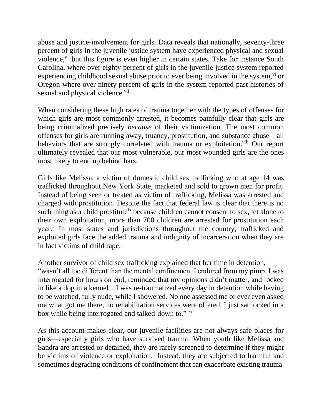abuse and justice-involvement for girls. Data reveals that nationally, seventy-three percent of girls in the juvenile justice system have experienced physical and sexual violence, $v$  but this figure is even higher in certain states. Take for instance South Carolina, where over eighty percent of girls in the juvenile justice system reported experiencing childhood sexual abuse prior to ever being involved in the system,  $\frac{v_i}{v}$  or Oregon where over ninety percent of girls in the system reported past histories of sexual and physical violence.<sup>vii</sup>

When considering these high rates of trauma together with the types of offenses for which girls are most commonly arrested, it becomes painfully clear that girls are being criminalized precisely *because* of their victimization. The most common offenses for girls are running away, truancy, prostitution, and substance abuse—all behaviors that are strongly correlated with trauma or exploitation.<sup>viii</sup> Our report ultimately revealed that our most vulnerable, our most wounded girls are the ones most likely to end up behind bars.

Girls like Melissa, a victim of domestic child sex trafficking who at age 14 was trafficked throughout New York State, marketed and sold to grown men for profit. Instead of being seen or treated as victim of trafficking, Melissa was arrested and charged with prostitution. Despite the fact that federal law is clear that there is no such thing as a child prostitute<sup>ix</sup> because children cannot consent to sex, let alone to their own exploitation, more than 700 children are arrested for prostitution each year.<sup>x</sup> In most states and jurisdictions throughout the country, trafficked and exploited girls face the added trauma and indignity of incarceration when they are in fact victims of child rape.

Another survivor of child sex trafficking explained that her time in detention,

"wasn't all too different than the mental confinement I endured from my pimp. I was interrogated for hours on end, reminded that my opinions didn't matter, and locked in like a dog in a kennel…I was re-traumatized every day in detention while having to be watched, fully nude, while I showered. No one assessed me or ever even asked me what got me there, no rehabilitation services were offered. I just sat locked in a box while being interrogated and talked-down to." xi

As this account makes clear, our juvenile facilities are not always safe places for girls—especially girls who have survived trauma. When youth like Melissa and Sandra are arrested or detained, they are rarely screened to determine if they might be victims of violence or exploitation. Instead, they are subjected to harmful and sometimes degrading conditions of confinement that can exacerbate existing trauma.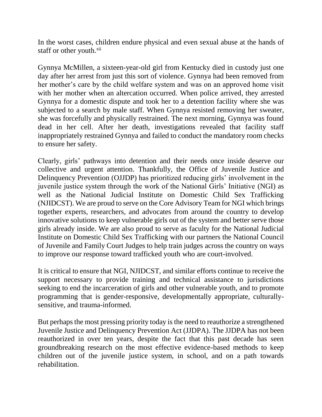In the worst cases, children endure physical and even sexual abuse at the hands of staff or other youth.<sup>xii</sup>

Gynnya McMillen, a sixteen-year-old girl from Kentucky died in custody just one day after her arrest from just this sort of violence. Gynnya had been removed from her mother's care by the child welfare system and was on an approved home visit with her mother when an altercation occurred. When police arrived, they arrested Gynnya for a domestic dispute and took her to a detention facility where she was subjected to a search by male staff. When Gynnya resisted removing her sweater, she was forcefully and physically restrained. The next morning, Gynnya was found dead in her cell. After her death, investigations revealed that facility staff inappropriately restrained Gynnya and failed to conduct the mandatory room checks to ensure her safety.

Clearly, girls' pathways into detention and their needs once inside deserve our collective and urgent attention. Thankfully, the Office of Juvenile Justice and Delinquency Prevention (OJJDP) has prioritized reducing girls' involvement in the juvenile justice system through the work of the National Girls' Initiative (NGI) as well as the National Judicial Institute on Domestic Child Sex Trafficking (NJIDCST). We are proud to serve on the Core Advisory Team for NGI which brings together experts, researchers, and advocates from around the country to develop innovative solutions to keep vulnerable girls out of the system and better serve those girls already inside. We are also proud to serve as faculty for the National Judicial Institute on Domestic Child Sex Trafficking with our partners the National Council of Juvenile and Family Court Judges to help train judges across the country on ways to improve our response toward trafficked youth who are court-involved.

It is critical to ensure that NGI, NJIDCST, and similar efforts continue to receive the support necessary to provide training and technical assistance to jurisdictions seeking to end the incarceration of girls and other vulnerable youth, and to promote programming that is gender-responsive, developmentally appropriate, culturallysensitive, and trauma-informed.

But perhaps the most pressing priority today is the need to reauthorize a strengthened Juvenile Justice and Delinquency Prevention Act (JJDPA). The JJDPA has not been reauthorized in over ten years, despite the fact that this past decade has seen groundbreaking research on the most effective evidence-based methods to keep children out of the juvenile justice system, in school, and on a path towards rehabilitation.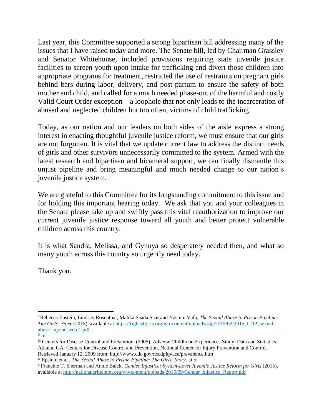Last year, this Committee supported a strong bipartisan bill addressing many of the issues that I have raised today and more. The Senate bill, led by Chairman Grassley and Senator Whitehouse, included provisions requiring state juvenile justice facilities to screen youth upon intake for trafficking and divert those children into appropriate programs for treatment, restricted the use of restraints on pregnant girls behind bars during labor, delivery, and post-partum to ensure the safety of both mother and child, and called for a much needed phase-out of the harmful and costly Valid Court Order exception—a loophole that not only leads to the incarceration of abused and neglected children but too often, victims of child trafficking.

Today, as our nation and our leaders on both sides of the aisle express a strong interest in enacting thoughtful juvenile justice reform, we must ensure that our girls are not forgotten. It is vital that we update current law to address the distinct needs of girls and other survivors unnecessarily committed to the system. Armed with the latest research and bipartisan and bicameral support, we can finally dismantle this unjust pipeline and bring meaningful and much needed change to our nation's juvenile justice system.

We are grateful to this Committee for its longstanding commitment to this issue and for holding this important hearing today. We ask that you and your colleagues in the Senate please take up and swiftly pass this vital reauthorization to improve our current juvenile justice response toward all youth and better protect vulnerable children across this country.

It is what Sandra, Melissa, and Gynnya so desperately needed then, and what so many youth across this country so urgently need today.

Thank you.

 $\overline{\phantom{a}}$ 

<sup>i</sup> Rebecca Epstein, Lindsay Rosenthal, Malika Saada Saar and Yasmin Vafa, *The Sexual Abuse to Prison Pipeline: The Girls' Story* (2015), available at https://rights4girls.org/wp-content/uploads/r4g/2015/02/2015 COP sexual[abuse\\_layout\\_web-1.pdf](https://rights4girls.org/wp-content/uploads/r4g/2015/02/2015_COP_sexual-abuse_layout_web-1.pdf)

ii Id.

iii Centers for Disease Control and Prevention. (2005). Adverse Childhood Experiences Study: Data and Statistics. Atlanta, GA: Centers for Disease Control and Prevention, National Center for Injury Prevention and Control. Retrieved January 12, 2009 from: http://www.cdc.gov/nccdphp/ace/prevalence.htm

iv Epstein et al., *The Sexual Abuse to Prison Pipeline: The Girls' Story,* at 5.

<sup>v</sup> Francine T. Sherman and Annie Balck, *Gender Injustice: System-Level Juvenile Justice Reform for Girls* (2015), available at [http://nationalcrittenton.org/wp-content/uploads/2015/09/Gender\\_Injustice\\_Report.pdf](http://nationalcrittenton.org/wp-content/uploads/2015/09/Gender_Injustice_Report.pdf)